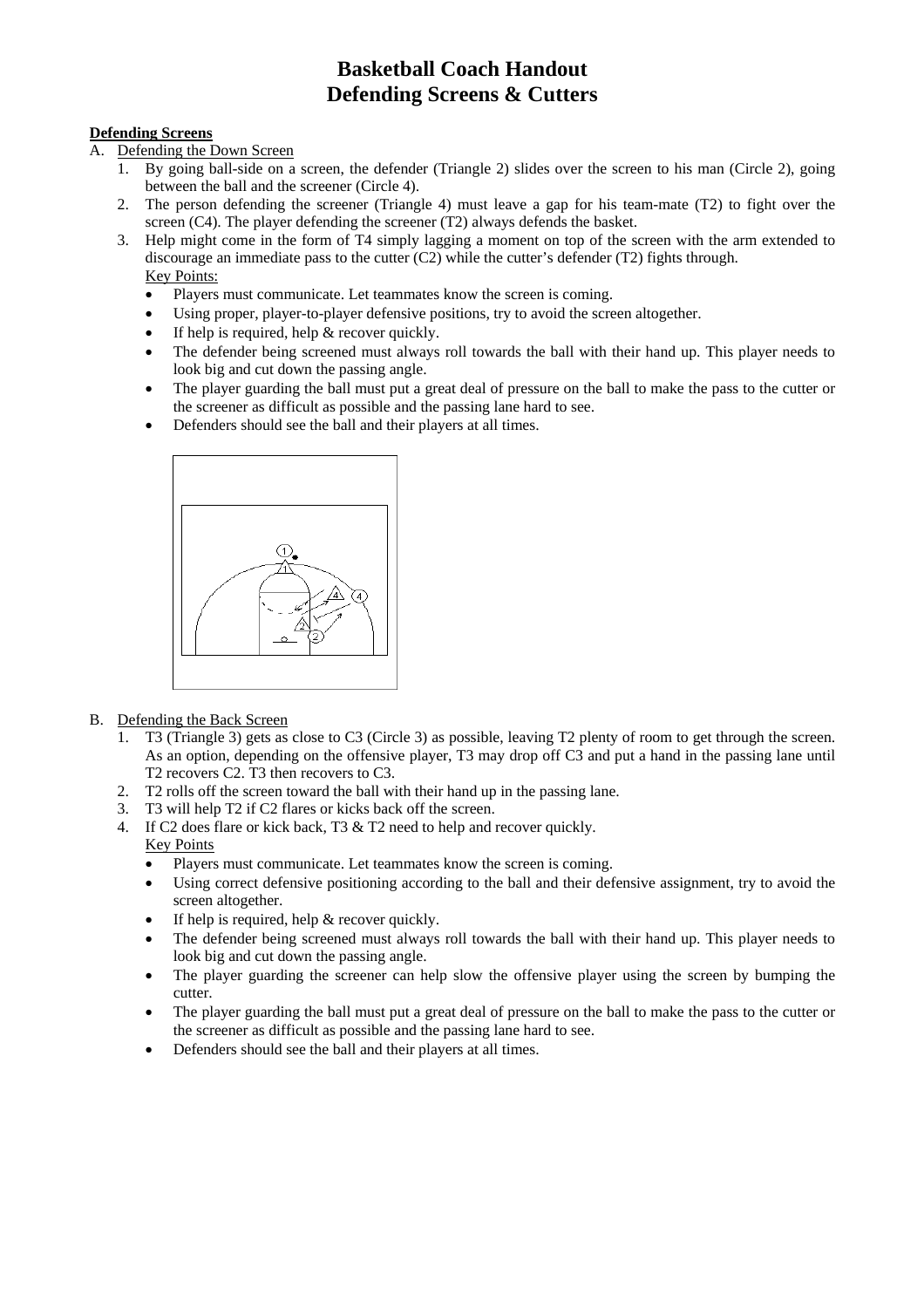### **Defending Screens**

- A. Defending the Down Screen
	- 1. By going ball-side on a screen, the defender (Triangle 2) slides over the screen to his man (Circle 2), going between the ball and the screener (Circle 4).
	- 2. The person defending the screener (Triangle 4) must leave a gap for his team-mate (T2) to fight over the screen (C4). The player defending the screener (T2) always defends the basket.
	- 3. Help might come in the form of T4 simply lagging a moment on top of the screen with the arm extended to discourage an immediate pass to the cutter (C2) while the cutter's defender (T2) fights through. Key Points:
		- Players must communicate. Let teammates know the screen is coming.
		- Using proper, player-to-player defensive positions, try to avoid the screen altogether.
		- If help is required, help  $&$  recover quickly.
		- The defender being screened must always roll towards the ball with their hand up. This player needs to look big and cut down the passing angle.
		- The player guarding the ball must put a great deal of pressure on the ball to make the pass to the cutter or the screener as difficult as possible and the passing lane hard to see.
		- Defenders should see the ball and their players at all times.



- B. Defending the Back Screen
	- 1. T3 (Triangle 3) gets as close to C3 (Circle 3) as possible, leaving T2 plenty of room to get through the screen. As an option, depending on the offensive player, T3 may drop off C3 and put a hand in the passing lane until T2 recovers C2. T3 then recovers to C3.
	- 2. T2 rolls off the screen toward the ball with their hand up in the passing lane.
	- 3. T3 will help T2 if C2 flares or kicks back off the screen.
	- 4. If C2 does flare or kick back, T3 & T2 need to help and recover quickly. Key Points
		- Players must communicate. Let teammates know the screen is coming.
		- Using correct defensive positioning according to the ball and their defensive assignment, try to avoid the screen altogether.
		- If help is required, help  $&$  recover quickly.
		- The defender being screened must always roll towards the ball with their hand up. This player needs to look big and cut down the passing angle.
		- The player guarding the screener can help slow the offensive player using the screen by bumping the cutter.
		- The player guarding the ball must put a great deal of pressure on the ball to make the pass to the cutter or the screener as difficult as possible and the passing lane hard to see.
		- Defenders should see the ball and their players at all times.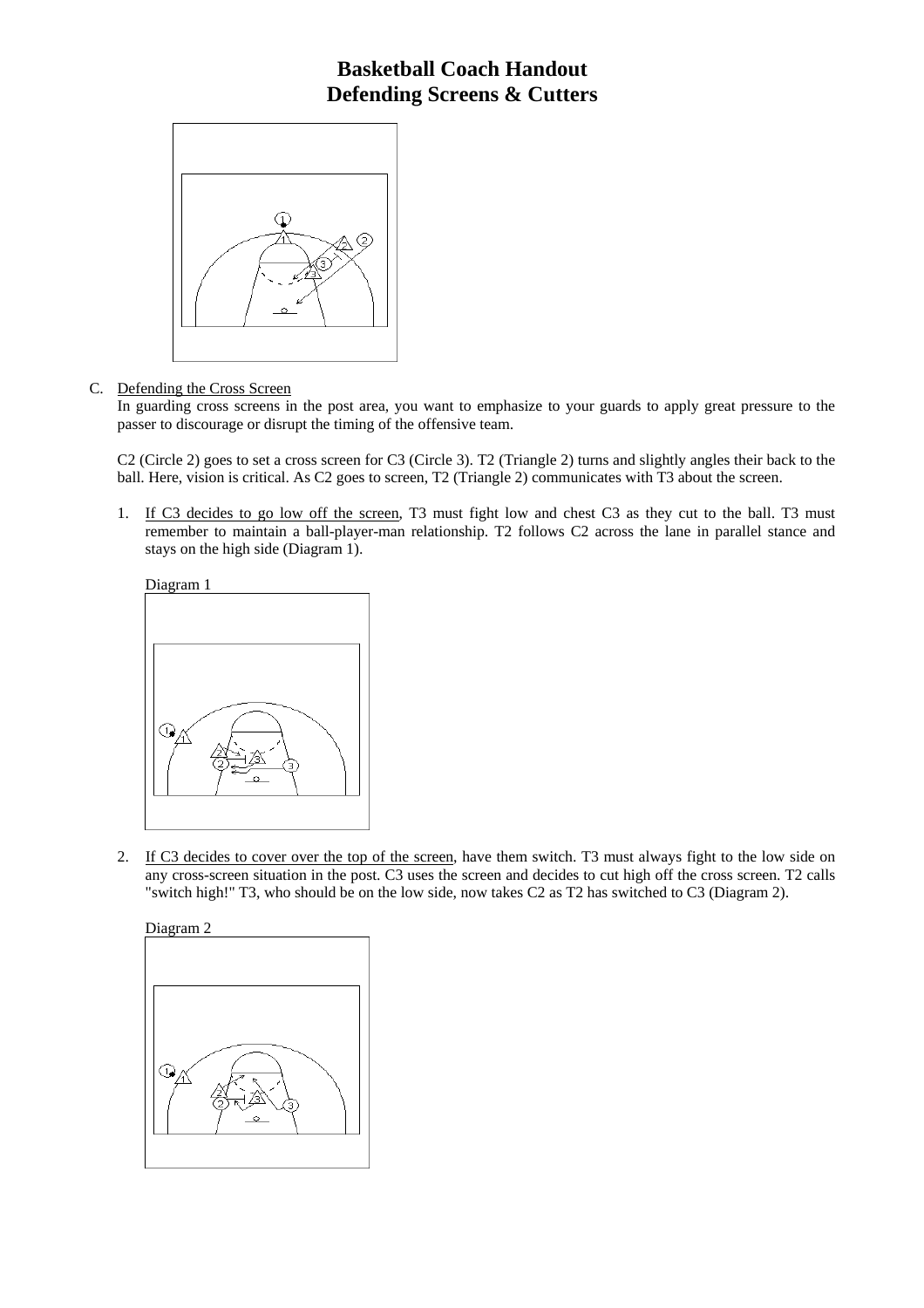

### C. Defending the Cross Screen

In guarding cross screens in the post area, you want to emphasize to your guards to apply great pressure to the passer to discourage or disrupt the timing of the offensive team.

C2 (Circle 2) goes to set a cross screen for C3 (Circle 3). T2 (Triangle 2) turns and slightly angles their back to the ball. Here, vision is critical. As C2 goes to screen, T2 (Triangle 2) communicates with T3 about the screen.

1. If C3 decides to go low off the screen, T3 must fight low and chest C3 as they cut to the ball. T3 must remember to maintain a ball-player-man relationship. T2 follows C2 across the lane in parallel stance and stays on the high side (Diagram 1).



2. If C3 decides to cover over the top of the screen, have them switch. T3 must always fight to the low side on any cross-screen situation in the post. C3 uses the screen and decides to cut high off the cross screen. T2 calls "switch high!" T3, who should be on the low side, now takes C2 as T2 has switched to C3 (Diagram 2).

Diagram 2

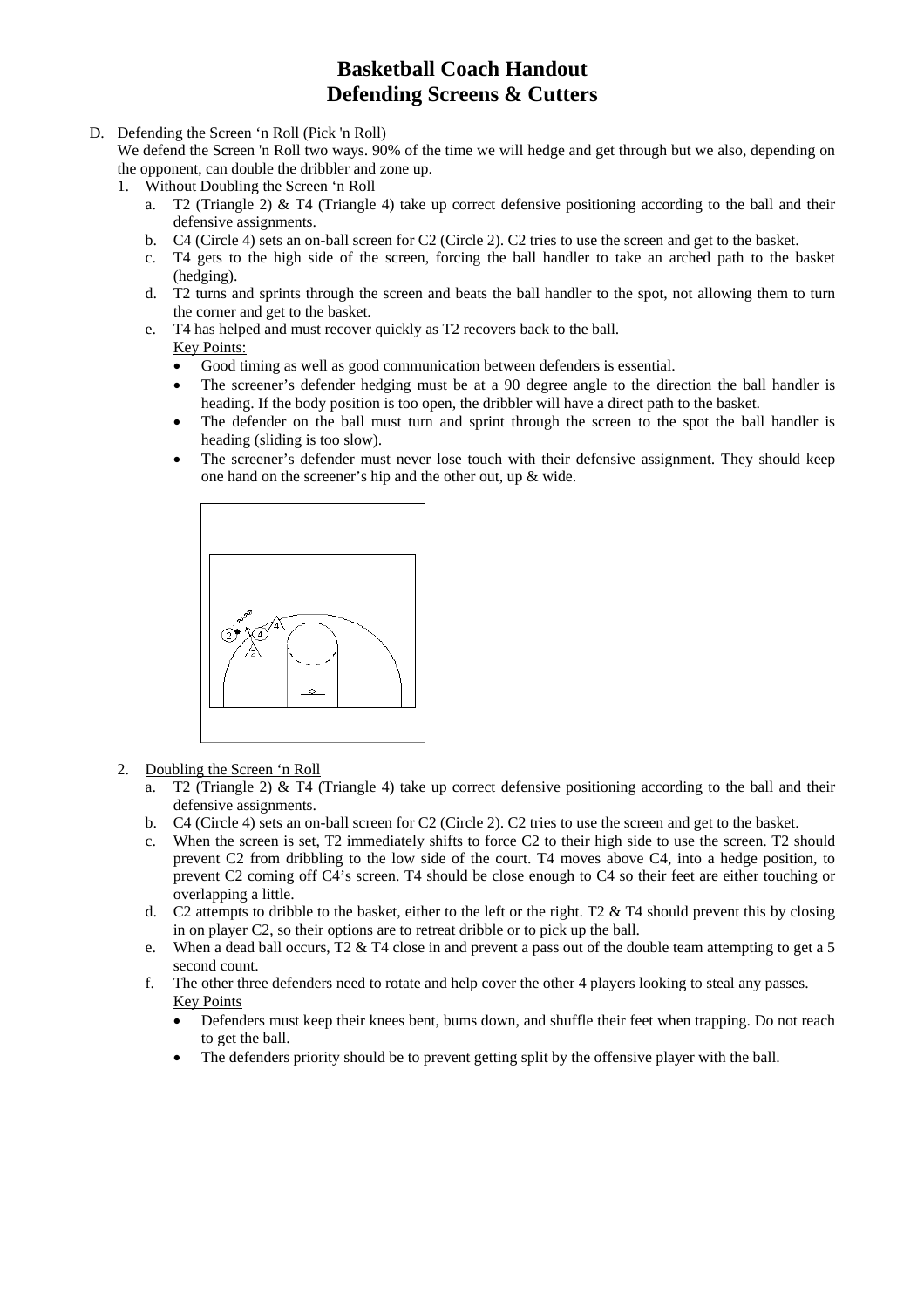#### D. Defending the Screen 'n Roll (Pick 'n Roll)

We defend the Screen 'n Roll two ways. 90% of the time we will hedge and get through but we also, depending on the opponent, can double the dribbler and zone up.

- 1. Without Doubling the Screen 'n Roll
	- a. T2 (Triangle 2) & T4 (Triangle 4) take up correct defensive positioning according to the ball and their defensive assignments.
	- b. C4 (Circle 4) sets an on-ball screen for C2 (Circle 2). C2 tries to use the screen and get to the basket.
	- c. T4 gets to the high side of the screen, forcing the ball handler to take an arched path to the basket (hedging).
	- d. T2 turns and sprints through the screen and beats the ball handler to the spot, not allowing them to turn the corner and get to the basket.
	- e. T4 has helped and must recover quickly as T2 recovers back to the ball.

### **Key Points:**

- Good timing as well as good communication between defenders is essential.
- The screener's defender hedging must be at a 90 degree angle to the direction the ball handler is heading. If the body position is too open, the dribbler will have a direct path to the basket.
- The defender on the ball must turn and sprint through the screen to the spot the ball handler is heading (sliding is too slow).
- The screener's defender must never lose touch with their defensive assignment. They should keep one hand on the screener's hip and the other out, up & wide.



- 2. Doubling the Screen 'n Roll
	- a. T2 (Triangle 2) & T4 (Triangle 4) take up correct defensive positioning according to the ball and their defensive assignments.
	- b. C4 (Circle 4) sets an on-ball screen for C2 (Circle 2). C2 tries to use the screen and get to the basket.
	- c. When the screen is set, T2 immediately shifts to force C2 to their high side to use the screen. T2 should prevent C2 from dribbling to the low side of the court. T4 moves above C4, into a hedge position, to prevent C2 coming off C4's screen. T4 should be close enough to C4 so their feet are either touching or overlapping a little.
	- d. C2 attempts to dribble to the basket, either to the left or the right. T2  $&$  T4 should prevent this by closing in on player C2, so their options are to retreat dribble or to pick up the ball.
	- e. When a dead ball occurs, T2 & T4 close in and prevent a pass out of the double team attempting to get a 5 second count.
	- f. The other three defenders need to rotate and help cover the other 4 players looking to steal any passes. Key Points
		- Defenders must keep their knees bent, bums down, and shuffle their feet when trapping. Do not reach to get the ball.
		- The defenders priority should be to prevent getting split by the offensive player with the ball.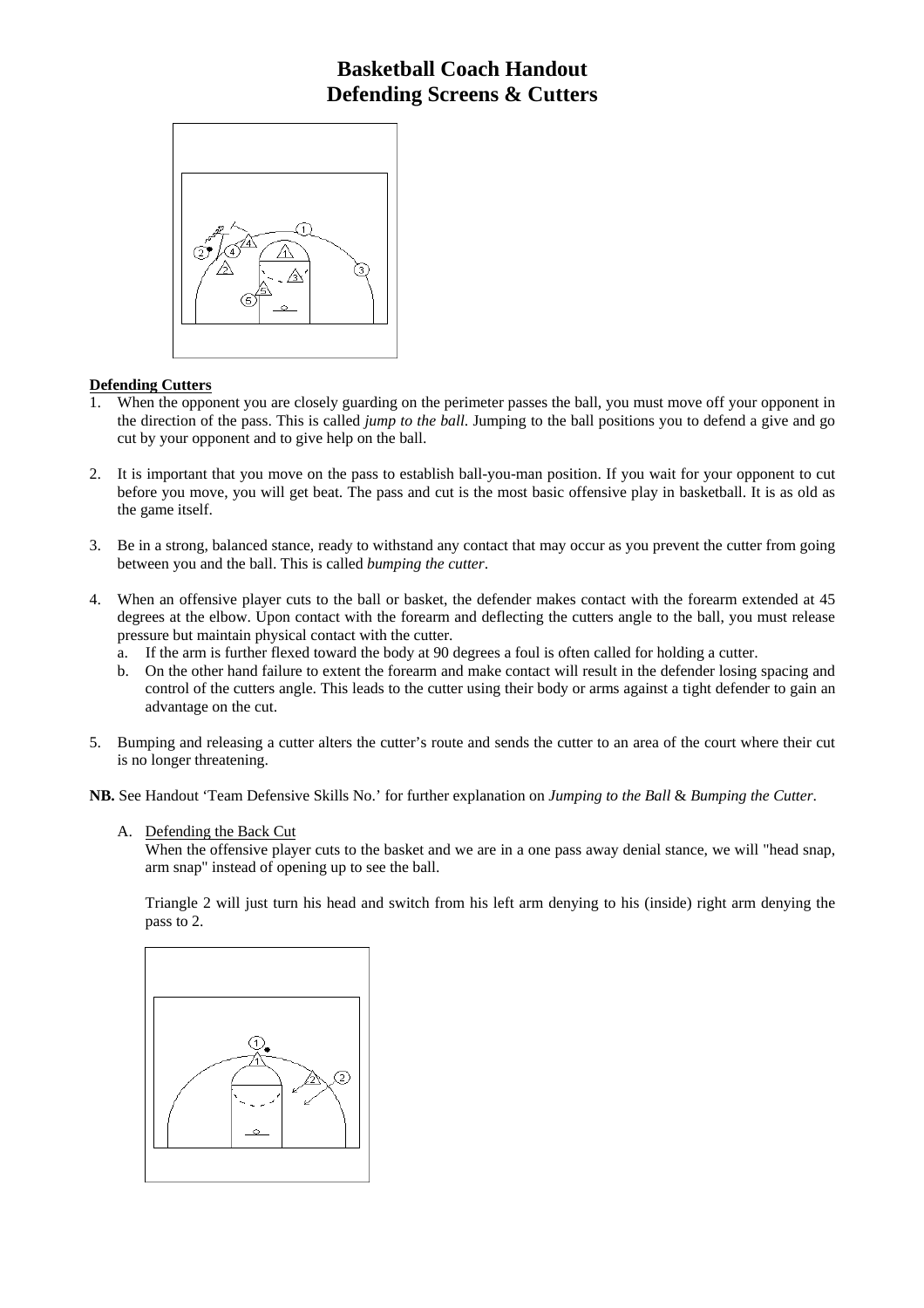

#### **Defending Cutters**

- 1. When the opponent you are closely guarding on the perimeter passes the ball, you must move off your opponent in the direction of the pass. This is called *jump to the ball*. Jumping to the ball positions you to defend a give and go cut by your opponent and to give help on the ball.
- 2. It is important that you move on the pass to establish ball-you-man position. If you wait for your opponent to cut before you move, you will get beat. The pass and cut is the most basic offensive play in basketball. It is as old as the game itself.
- 3. Be in a strong, balanced stance, ready to withstand any contact that may occur as you prevent the cutter from going between you and the ball. This is called *bumping the cutter*.
- 4. When an offensive player cuts to the ball or basket, the defender makes contact with the forearm extended at 45 degrees at the elbow. Upon contact with the forearm and deflecting the cutters angle to the ball, you must release pressure but maintain physical contact with the cutter.
	- a. If the arm is further flexed toward the body at 90 degrees a foul is often called for holding a cutter.
	- b. On the other hand failure to extent the forearm and make contact will result in the defender losing spacing and control of the cutters angle. This leads to the cutter using their body or arms against a tight defender to gain an advantage on the cut.
- 5. Bumping and releasing a cutter alters the cutter's route and sends the cutter to an area of the court where their cut is no longer threatening.

**NB.** See Handout 'Team Defensive Skills No.' for further explanation on *Jumping to the Ball* & *Bumping the Cutter*.

A. Defending the Back Cut

When the offensive player cuts to the basket and we are in a one pass away denial stance, we will "head snap, arm snap" instead of opening up to see the ball.

Triangle 2 will just turn his head and switch from his left arm denying to his (inside) right arm denying the pass to 2.